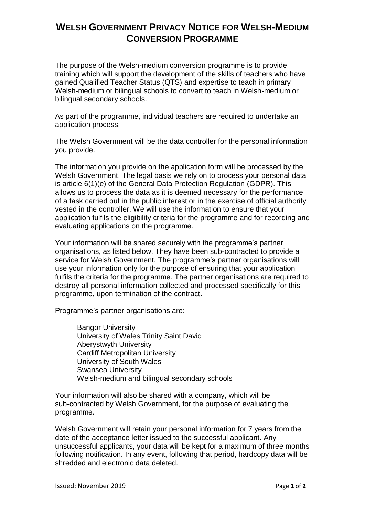## **WELSH GOVERNMENT PRIVACY NOTICE FOR WELSH-MEDIUM CONVERSION PROGRAMME**

The purpose of the Welsh-medium conversion programme is to provide training which will support the development of the skills of teachers who have gained Qualified Teacher Status (QTS) and expertise to teach in primary Welsh-medium or bilingual schools to convert to teach in Welsh-medium or bilingual secondary schools.

As part of the programme, individual teachers are required to undertake an application process.

The Welsh Government will be the data controller for the personal information you provide.

The information you provide on the application form will be processed by the Welsh Government. The legal basis we rely on to process your personal data is article 6(1)(e) of the General Data Protection Regulation (GDPR). This allows us to process the data as it is deemed necessary for the performance of a task carried out in the public interest or in the exercise of official authority vested in the controller. We will use the information to ensure that your application fulfils the eligibility criteria for the programme and for recording and evaluating applications on the programme.

Your information will be shared securely with the programme's partner organisations, as listed below. They have been sub-contracted to provide a service for Welsh Government. The programme's partner organisations will use your information only for the purpose of ensuring that your application fulfils the criteria for the programme. The partner organisations are required to destroy all personal information collected and processed specifically for this programme, upon termination of the contract.

Programme's partner organisations are:

Bangor University University of Wales Trinity Saint David Aberystwyth University Cardiff Metropolitan University University of South Wales Swansea University Welsh-medium and bilingual secondary schools

Your information will also be shared with a company, which will be sub-contracted by Welsh Government, for the purpose of evaluating the programme.

Welsh Government will retain your personal information for 7 years from the date of the acceptance letter issued to the successful applicant. Any unsuccessful applicants, your data will be kept for a maximum of three months following notification. In any event, following that period, hardcopy data will be shredded and electronic data deleted.